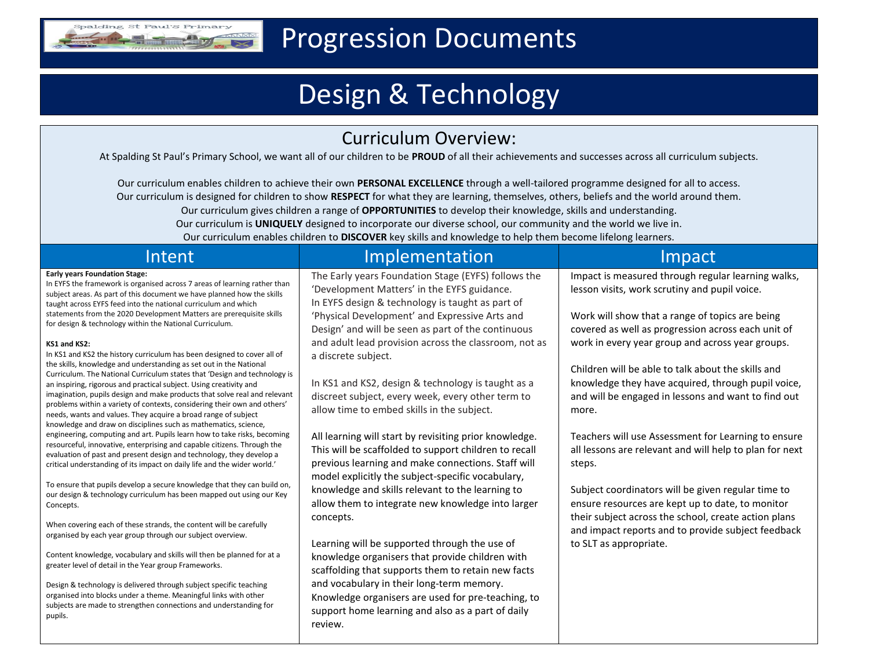

## Progression Documents

# Design & Technology

## Curriculum Overview:

At Spalding St Paul's Primary School, we want all of our children to be **PROUD** of all their achievements and successes across all curriculum subjects.

Our curriculum enables children to achieve their own **PERSONAL EXCELLENCE** through a well-tailored programme designed for all to access. Our curriculum is designed for children to show **RESPECT** for what they are learning, themselves, others, beliefs and the world around them. Our curriculum gives children a range of **OPPORTUNITIES** to develop their knowledge, skills and understanding. Our curriculum is **UNIQUELY** designed to incorporate our diverse school, our community and the world we live in.

### Our curriculum enables children to **DISCOVER** key skills and knowledge to help them become lifelong learners. Intent Implementation Impact

#### **Early years Foundation Stage:**

In EYFS the framework is organised across 7 areas of learning rather than subject areas. As part of this document we have planned how the skills taught across EYFS feed into the national curriculum and which statements from the 2020 Development Matters are prerequisite skills for design & technology within the National Curriculum.

#### **KS1 and KS2:**

In KS1 and KS2 the history curriculum has been designed to cover all of the skills, knowledge and understanding as set out in the National Curriculum. The National Curriculum states that 'Design and technology is an inspiring, rigorous and practical subject. Using creativity and imagination, pupils design and make products that solve real and relevant problems within a variety of contexts, considering their own and others' needs, wants and values. They acquire a broad range of subject knowledge and draw on disciplines such as mathematics, science, engineering, computing and art. Pupils learn how to take risks, becoming resourceful, innovative, enterprising and capable citizens. Through the evaluation of past and present design and technology, they develop a critical understanding of its impact on daily life and the wider world.'

To ensure that pupils develop a secure knowledge that they can build on, our design & technology curriculum has been mapped out using our Key Concepts.

When covering each of these strands, the content will be carefully organised by each year group through our subject overview.

Content knowledge, vocabulary and skills will then be planned for at a greater level of detail in the Year group Frameworks.

Design & technology is delivered through subject specific teaching organised into blocks under a theme. Meaningful links with other subjects are made to strengthen connections and understanding for pupils.

The Early years Foundation Stage (EYFS) follows the 'Development Matters' in the EYFS guidance. In EYFS design & technology is taught as part of 'Physical Development' and Expressive Arts and Design' and will be seen as part of the continuous and adult lead provision across the classroom, not as a discrete subject.

In KS1 and KS2, design & technology is taught as a discreet subject, every week, every other term to allow time to embed skills in the subject.

All learning will start by revisiting prior knowledge. This will be scaffolded to support children to recall previous learning and make connections. Staff will model explicitly the subject-specific vocabulary, knowledge and skills relevant to the learning to allow them to integrate new knowledge into larger concepts.

Learning will be supported through the use of knowledge organisers that provide children with scaffolding that supports them to retain new facts and vocabulary in their long-term memory. Knowledge organisers are used for pre-teaching, to support home learning and also as a part of daily review.

Impact is measured through regular learning walks, lesson visits, work scrutiny and pupil voice.

Work will show that a range of topics are being covered as well as progression across each unit of work in every year group and across year groups.

Children will be able to talk about the skills and knowledge they have acquired, through pupil voice, and will be engaged in lessons and want to find out more.

Teachers will use Assessment for Learning to ensure all lessons are relevant and will help to plan for next steps.

Subject coordinators will be given regular time to ensure resources are kept up to date, to monitor their subject across the school, create action plans and impact reports and to provide subject feedback to SLT as appropriate.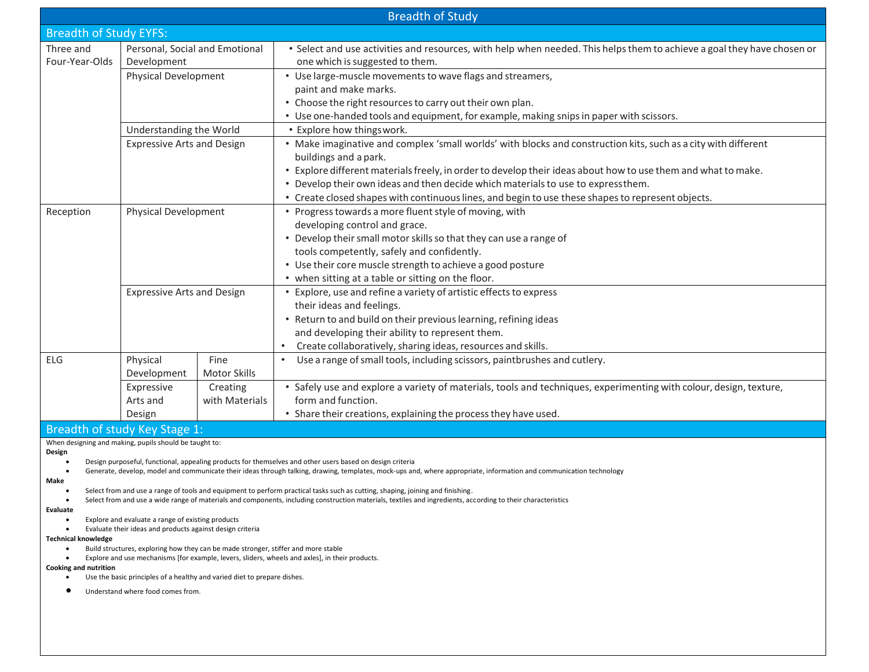| <b>Breadth of Study</b>       |                                               |                |                                                                                                                                                                                                 |  |  |
|-------------------------------|-----------------------------------------------|----------------|-------------------------------------------------------------------------------------------------------------------------------------------------------------------------------------------------|--|--|
| <b>Breadth of Study EYFS:</b> |                                               |                |                                                                                                                                                                                                 |  |  |
| Three and<br>Four-Year-Olds   | Personal, Social and Emotional<br>Development |                | • Select and use activities and resources, with help when needed. This helps them to achieve a goal they have chosen or<br>one which is suggested to them.                                      |  |  |
|                               | Physical Development                          |                | • Use large-muscle movements to wave flags and streamers,<br>paint and make marks.                                                                                                              |  |  |
|                               |                                               |                | • Choose the right resources to carry out their own plan.<br>• Use one-handed tools and equipment, for example, making snips in paper with scissors.                                            |  |  |
|                               | Understanding the World                       |                | • Explore how thingswork.                                                                                                                                                                       |  |  |
|                               | <b>Expressive Arts and Design</b>             |                | • Make imaginative and complex 'small worlds' with blocks and construction kits, such as a city with different<br>buildings and a park.                                                         |  |  |
|                               |                                               |                | • Explore different materials freely, in order to develop their ideas about how to use them and what to make.<br>Develop their own ideas and then decide which materials to use to expressthem. |  |  |
|                               |                                               |                | • Create closed shapes with continuous lines, and begin to use these shapes to represent objects.                                                                                               |  |  |
| Reception                     | Physical Development                          |                | • Progress towards a more fluent style of moving, with                                                                                                                                          |  |  |
|                               |                                               |                | developing control and grace.                                                                                                                                                                   |  |  |
|                               |                                               |                | • Develop their small motor skills so that they can use a range of                                                                                                                              |  |  |
|                               |                                               |                | tools competently, safely and confidently.                                                                                                                                                      |  |  |
|                               |                                               |                | • Use their core muscle strength to achieve a good posture                                                                                                                                      |  |  |
|                               |                                               |                | • when sitting at a table or sitting on the floor.                                                                                                                                              |  |  |
|                               | <b>Expressive Arts and Design</b>             |                | • Explore, use and refine a variety of artistic effects to express                                                                                                                              |  |  |
|                               |                                               |                | their ideas and feelings.                                                                                                                                                                       |  |  |
|                               |                                               |                | • Return to and build on their previous learning, refining ideas                                                                                                                                |  |  |
|                               |                                               |                | and developing their ability to represent them.                                                                                                                                                 |  |  |
|                               |                                               |                | Create collaboratively, sharing ideas, resources and skills.                                                                                                                                    |  |  |
| <b>ELG</b>                    | Physical                                      | Fine           | Use a range of small tools, including scissors, paintbrushes and cutlery.<br>$\bullet$                                                                                                          |  |  |
|                               | Development                                   | Motor Skills   |                                                                                                                                                                                                 |  |  |
|                               | Expressive                                    | Creating       | • Safely use and explore a variety of materials, tools and techniques, experimenting with colour, design, texture,                                                                              |  |  |
|                               | Arts and                                      | with Materials | form and function.                                                                                                                                                                              |  |  |
|                               | Design                                        |                | • Share their creations, explaining the process they have used.                                                                                                                                 |  |  |

### Breadth of study Key Stage 1:

When designing and making, pupils should be taught to:

#### **Design**

• Design purposeful, functional, appealing products for themselves and other users based on design criteria

• Generate, develop, model and communicate their ideas through talking, drawing, templates, mock-ups and, where appropriate, information and communication technology

#### **Make**

• Select from and use a range of tools and equipment to perform practical tasks such as cutting, shaping, joining and finishing.

• Select from and use a wide range of materials and components, including construction materials, textiles and ingredients, according to their characteristics

#### **Evaluate**

- Explore and evaluate a range of existing products
- Evaluate their ideas and products against design criteria

#### **Technical knowledge**

- Build structures, exploring how they can be made stronger, stiffer and more stable
- Explore and use mechanisms [for example, levers, sliders, wheels and axles], in their products.

#### **Cooking and nutrition**

- Use the basic principles of a healthy and varied diet to prepare dishes.
- Understand where food comes from.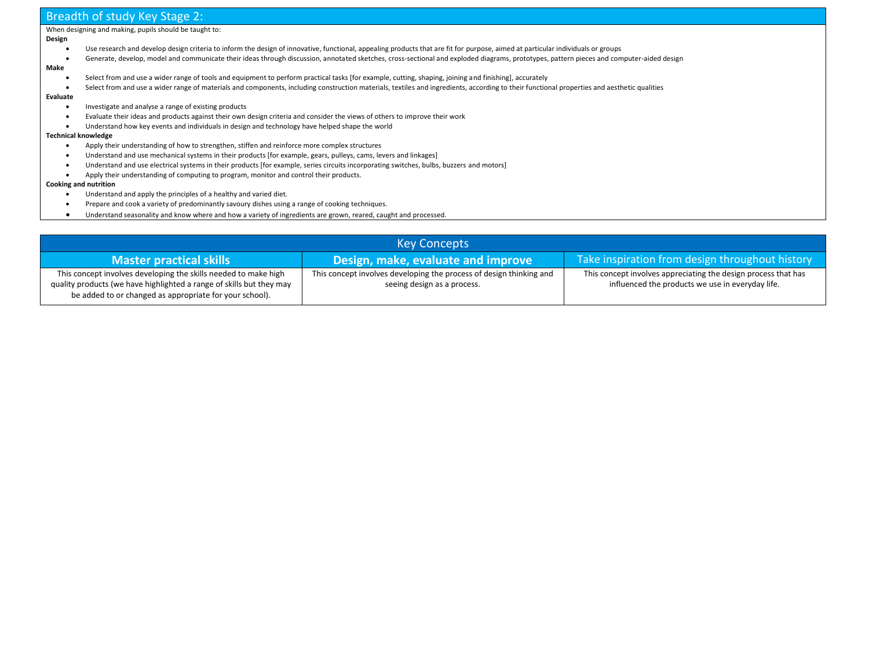### Breadth of study Key Stage 2:

When designing and making, pupils should be taught to:

#### **Design**

- Use research and develop design criteria to inform the design of innovative, functional, appealing products that are fit for purpose, aimed at particular individuals or groups
- Generate, develop, model and communicate their ideas through discussion, annotated sketches, cross-sectional and exploded diagrams, prototypes, pattern pieces and computer-aided design

#### **Make**

- Select from and use a wider range of tools and equipment to perform practical tasks [for example, cutting, shaping, joining and finishing], accurately
- Select from and use a wider range of materials and components, including construction materials, textiles and ingredients, according to their functional properties and aesthetic qualities

#### **Evaluate**

- Investigate and analyse a range of existing products
- Evaluate their ideas and products against their own design criteria and consider the views of others to improve their work
- Understand how key events and individuals in design and technology have helped shape the world

#### **Technical knowledge**

- Apply their understanding of how to strengthen, stiffen and reinforce more complex structures
- Understand and use mechanical systems in their products [for example, gears, pulleys, cams, levers and linkages]
- Understand and use electrical systems in their products [for example, series circuits incorporating switches, bulbs, buzzers and motors]
- Apply their understanding of computing to program, monitor and control their products.

#### **Cooking and nutrition**

- Understand and apply the principles of a healthy and varied diet.
- Prepare and cook a variety of predominantly savoury dishes using a range of cooking techniques.
- Understand seasonality and know where and how a variety of ingredients are grown, reared, caught and processed.

| <b>Key Concepts</b>                                                                                                                                                                                |                                                                                                    |                                                                                                                    |  |  |  |
|----------------------------------------------------------------------------------------------------------------------------------------------------------------------------------------------------|----------------------------------------------------------------------------------------------------|--------------------------------------------------------------------------------------------------------------------|--|--|--|
| <b>Master practical skills</b>                                                                                                                                                                     | Design, make, evaluate and improve                                                                 | Take inspiration from design throughout history                                                                    |  |  |  |
| This concept involves developing the skills needed to make high<br>quality products (we have highlighted a range of skills but they may<br>be added to or changed as appropriate for your school). | This concept involves developing the process of design thinking and<br>seeing design as a process. | This concept involves appreciating the design process that has<br>influenced the products we use in everyday life. |  |  |  |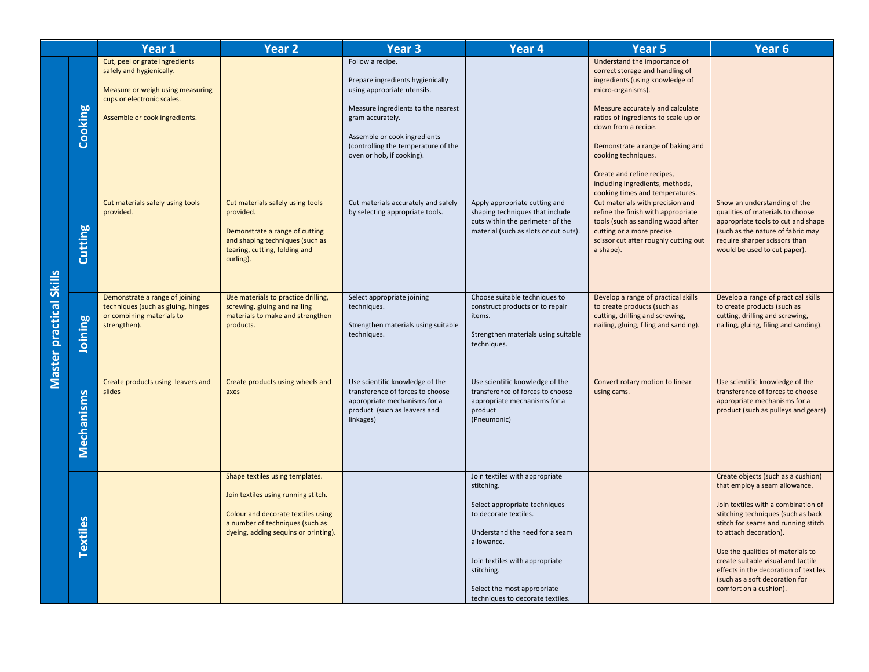|                                |                | Year 1                                                                                                                                                        | <b>Year 2</b>                                                                                                                                                                           | <b>Year 3</b>                                                                                                                                                                 | Year <sub>4</sub>                                                                                                                                                                                                                                                         | <b>Year 5</b>                                                                                                                                                                                                              | Year <sub>6</sub>                                                                                                                                                                                                                                                                                                                                                                                 |
|--------------------------------|----------------|---------------------------------------------------------------------------------------------------------------------------------------------------------------|-----------------------------------------------------------------------------------------------------------------------------------------------------------------------------------------|-------------------------------------------------------------------------------------------------------------------------------------------------------------------------------|---------------------------------------------------------------------------------------------------------------------------------------------------------------------------------------------------------------------------------------------------------------------------|----------------------------------------------------------------------------------------------------------------------------------------------------------------------------------------------------------------------------|---------------------------------------------------------------------------------------------------------------------------------------------------------------------------------------------------------------------------------------------------------------------------------------------------------------------------------------------------------------------------------------------------|
|                                | Cooking        | Cut, peel or grate ingredients<br>safely and hygienically.<br>Measure or weigh using measuring<br>cups or electronic scales.<br>Assemble or cook ingredients. |                                                                                                                                                                                         | Follow a recipe.<br>Prepare ingredients hygienically<br>using appropriate utensils.<br>Measure ingredients to the nearest<br>gram accurately.<br>Assemble or cook ingredients |                                                                                                                                                                                                                                                                           | Understand the importance of<br>correct storage and handling of<br>ingredients (using knowledge of<br>micro-organisms).<br>Measure accurately and calculate<br>ratios of ingredients to scale up or<br>down from a recipe. |                                                                                                                                                                                                                                                                                                                                                                                                   |
| <b>Master practical Skills</b> |                |                                                                                                                                                               |                                                                                                                                                                                         | (controlling the temperature of the<br>oven or hob, if cooking).                                                                                                              |                                                                                                                                                                                                                                                                           | Demonstrate a range of baking and<br>cooking techniques.<br>Create and refine recipes,<br>including ingredients, methods,<br>cooking times and temperatures.                                                               |                                                                                                                                                                                                                                                                                                                                                                                                   |
|                                | <b>Cutting</b> | Cut materials safely using tools<br>provided.                                                                                                                 | Cut materials safely using tools<br>provided.<br>Demonstrate a range of cutting<br>and shaping techniques (such as<br>tearing, cutting, folding and<br>curling).                        | Cut materials accurately and safely<br>by selecting appropriate tools.                                                                                                        | Apply appropriate cutting and<br>shaping techniques that include<br>cuts within the perimeter of the<br>material (such as slots or cut outs).                                                                                                                             | Cut materials with precision and<br>refine the finish with appropriate<br>tools (such as sanding wood after<br>cutting or a more precise<br>scissor cut after roughly cutting out<br>a shape).                             | Show an understanding of the<br>qualities of materials to choose<br>appropriate tools to cut and shape<br>(such as the nature of fabric may<br>require sharper scissors than<br>would be used to cut paper).                                                                                                                                                                                      |
|                                | Joining        | Demonstrate a range of joining<br>techniques (such as gluing, hinges<br>or combining materials to<br>strengthen).                                             | Use materials to practice drilling,<br>screwing, gluing and nailing<br>materials to make and strengthen<br>products.                                                                    | Select appropriate joining<br>techniques.<br>Strengthen materials using suitable<br>techniques.                                                                               | Choose suitable techniques to<br>construct products or to repair<br>items.<br>Strengthen materials using suitable<br>techniques.                                                                                                                                          | Develop a range of practical skills<br>to create products (such as<br>cutting, drilling and screwing,<br>nailing, gluing, filing and sanding).                                                                             | Develop a range of practical skills<br>to create products (such as<br>cutting, drilling and screwing,<br>nailing, gluing, filing and sanding).                                                                                                                                                                                                                                                    |
|                                | Mechanisms     | Create products using leavers and<br>slides                                                                                                                   | Create products using wheels and<br>axes                                                                                                                                                | Use scientific knowledge of the<br>transference of forces to choose<br>appropriate mechanisms for a<br>product (such as leavers and<br>linkages)                              | Use scientific knowledge of the<br>transference of forces to choose<br>appropriate mechanisms for a<br>product<br>(Pneumonic)                                                                                                                                             | Convert rotary motion to linear<br>using cams.                                                                                                                                                                             | Use scientific knowledge of the<br>transference of forces to choose<br>appropriate mechanisms for a<br>product (such as pulleys and gears)                                                                                                                                                                                                                                                        |
|                                | extiles        |                                                                                                                                                               | Shape textiles using templates.<br>Join textiles using running stitch.<br>Colour and decorate textiles using<br>a number of techniques (such as<br>dyeing, adding sequins or printing). |                                                                                                                                                                               | Join textiles with appropriate<br>stitching.<br>Select appropriate techniques<br>to decorate textiles.<br>Understand the need for a seam<br>allowance.<br>Join textiles with appropriate<br>stitching.<br>Select the most appropriate<br>techniques to decorate textiles. |                                                                                                                                                                                                                            | Create objects (such as a cushion)<br>that employ a seam allowance.<br>Join textiles with a combination of<br>stitching techniques (such as back<br>stitch for seams and running stitch<br>to attach decoration).<br>Use the qualities of materials to<br>create suitable visual and tactile<br>effects in the decoration of textiles<br>(such as a soft decoration for<br>comfort on a cushion). |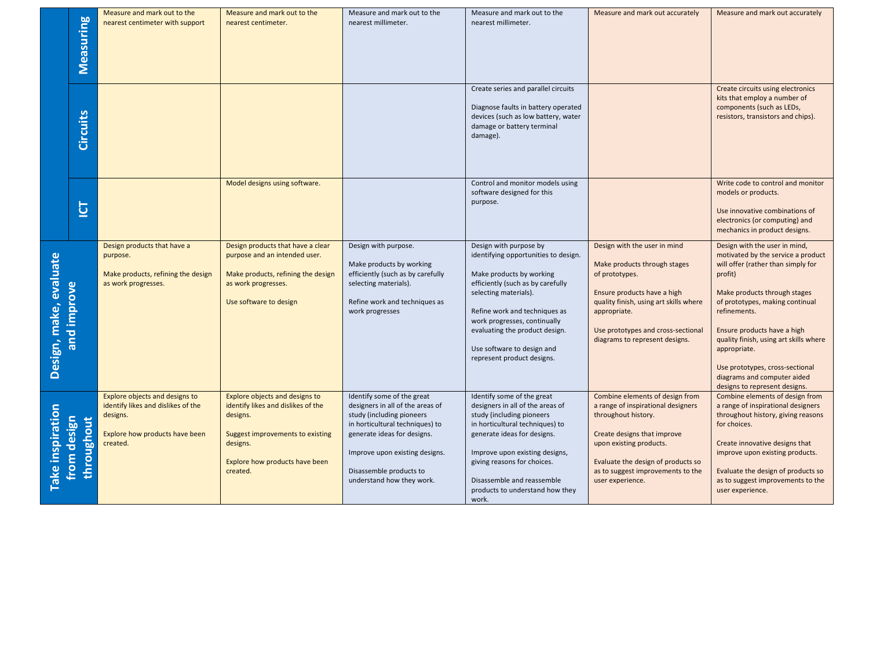|                        |                           | Measure and mark out to the        | Measure and mark out to the        | Measure and mark out to the                                   | Measure and mark out to the                                   | Measure and mark out accurately                       | Measure and mark out accurately                                         |
|------------------------|---------------------------|------------------------------------|------------------------------------|---------------------------------------------------------------|---------------------------------------------------------------|-------------------------------------------------------|-------------------------------------------------------------------------|
|                        |                           | nearest centimeter with support    | nearest centimeter.                | nearest millimeter.                                           | nearest millimeter.                                           |                                                       |                                                                         |
|                        | Measuring                 |                                    |                                    |                                                               |                                                               |                                                       |                                                                         |
|                        |                           |                                    |                                    |                                                               |                                                               |                                                       |                                                                         |
|                        |                           |                                    |                                    |                                                               |                                                               |                                                       |                                                                         |
|                        |                           |                                    |                                    |                                                               |                                                               |                                                       |                                                                         |
|                        |                           |                                    |                                    |                                                               |                                                               |                                                       |                                                                         |
|                        |                           |                                    |                                    |                                                               | Create series and parallel circuits                           |                                                       | Create circuits using electronics<br>kits that employ a number of       |
|                        |                           |                                    |                                    |                                                               | Diagnose faults in battery operated                           |                                                       | components (such as LEDs,                                               |
|                        |                           |                                    |                                    |                                                               | devices (such as low battery, water                           |                                                       | resistors, transistors and chips).                                      |
|                        |                           |                                    |                                    |                                                               | damage or battery terminal                                    |                                                       |                                                                         |
|                        | Circuits                  |                                    |                                    |                                                               | damage).                                                      |                                                       |                                                                         |
|                        |                           |                                    |                                    |                                                               |                                                               |                                                       |                                                                         |
|                        |                           |                                    |                                    |                                                               |                                                               |                                                       |                                                                         |
|                        |                           |                                    |                                    |                                                               |                                                               |                                                       |                                                                         |
|                        |                           |                                    | Model designs using software.      |                                                               | Control and monitor models using                              |                                                       | Write code to control and monitor<br>models or products.                |
|                        |                           |                                    |                                    |                                                               | software designed for this<br>purpose.                        |                                                       |                                                                         |
|                        | <u>는</u>                  |                                    |                                    |                                                               |                                                               |                                                       | Use innovative combinations of                                          |
|                        |                           |                                    |                                    |                                                               |                                                               |                                                       | electronics (or computing) and                                          |
|                        |                           |                                    |                                    |                                                               |                                                               |                                                       | mechanics in product designs.                                           |
|                        |                           | Design products that have a        | Design products that have a clear  | Design with purpose.                                          | Design with purpose by                                        | Design with the user in mind                          | Design with the user in mind,                                           |
|                        |                           | purpose.                           | purpose and an intended user.      |                                                               | identifying opportunities to design.                          |                                                       | motivated by the service a product                                      |
|                        |                           | Make products, refining the design | Make products, refining the design | Make products by working<br>efficiently (such as by carefully | Make products by working                                      | Make products through stages<br>of prototypes.        | will offer (rather than simply for<br>profit)                           |
|                        |                           | as work progresses.                | as work progresses.                | selecting materials).                                         | efficiently (such as by carefully                             |                                                       |                                                                         |
|                        | and improve               |                                    |                                    |                                                               | selecting materials).                                         | Ensure products have a high                           | Make products through stages                                            |
|                        |                           |                                    | Use software to design             | Refine work and techniques as                                 |                                                               | quality finish, using art skills where                | of prototypes, making continual                                         |
|                        |                           |                                    |                                    | work progresses                                               | Refine work and techniques as<br>work progresses, continually | appropriate.                                          | refinements.                                                            |
|                        |                           |                                    |                                    |                                                               | evaluating the product design.                                | Use prototypes and cross-sectional                    | Ensure products have a high                                             |
|                        |                           |                                    |                                    |                                                               |                                                               | diagrams to represent designs.                        | quality finish, using art skills where                                  |
|                        |                           |                                    |                                    |                                                               | Use software to design and                                    |                                                       | appropriate.                                                            |
| Design, make, evaluate |                           |                                    |                                    |                                                               | represent product designs.                                    |                                                       |                                                                         |
|                        |                           |                                    |                                    |                                                               |                                                               |                                                       | Use prototypes, cross-sectional<br>diagrams and computer aided          |
|                        |                           |                                    |                                    |                                                               |                                                               |                                                       | designs to represent designs.                                           |
|                        |                           | Explore objects and designs to     | Explore objects and designs to     | Identify some of the great                                    | Identify some of the great                                    | Combine elements of design from                       | Combine elements of design from                                         |
|                        |                           | identify likes and dislikes of the | identify likes and dislikes of the | designers in all of the areas of                              | designers in all of the areas of                              | a range of inspirational designers                    | a range of inspirational designers                                      |
|                        |                           | designs.                           | designs.                           | study (including pioneers<br>in horticultural techniques) to  | study (including pioneers<br>in horticultural techniques) to  | throughout history.                                   | throughout history, giving reasons<br>for choices.                      |
|                        |                           | Explore how products have been     | Suggest improvements to existing   | generate ideas for designs.                                   | generate ideas for designs.                                   | Create designs that improve                           |                                                                         |
| Take inspiration       | from design<br>throughout | created.                           | designs.                           |                                                               |                                                               | upon existing products.                               | Create innovative designs that                                          |
|                        |                           |                                    |                                    | Improve upon existing designs.                                | Improve upon existing designs,                                |                                                       | improve upon existing products.                                         |
|                        |                           |                                    | Explore how products have been     |                                                               | giving reasons for choices.                                   | Evaluate the design of products so                    |                                                                         |
|                        |                           |                                    | created.                           | Disassemble products to<br>understand how they work.          | Disassemble and reassemble                                    | as to suggest improvements to the<br>user experience. | Evaluate the design of products so<br>as to suggest improvements to the |
|                        |                           |                                    |                                    |                                                               | products to understand how they                               |                                                       | user experience.                                                        |
|                        |                           |                                    |                                    |                                                               | work.                                                         |                                                       |                                                                         |